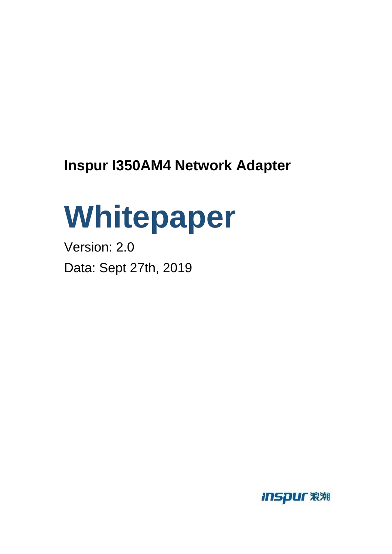# **Inspur I350AM4 Network Adapter**

# **Whitepaper**

Version: 2.0 Data: Sept 27th, 2019

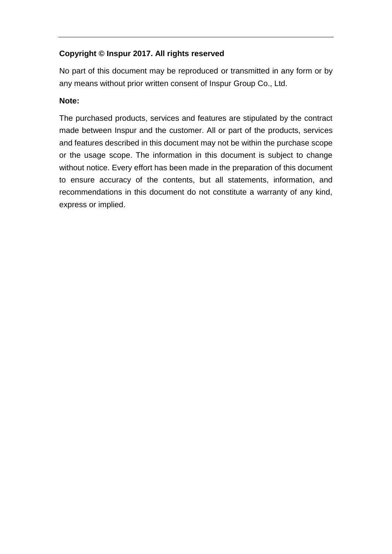#### **Copyright © Inspur 2017. All rights reserved**

No part of this document may be reproduced or transmitted in any form or by any means without prior written consent of Inspur Group Co., Ltd.

#### **Note:**

The purchased products, services and features are stipulated by the contract made between Inspur and the customer. All or part of the products, services and features described in this document may not be within the purchase scope or the usage scope. The information in this document is subject to change without notice. Every effort has been made in the preparation of this document to ensure accuracy of the contents, but all statements, information, and recommendations in this document do not constitute a warranty of any kind, express or implied.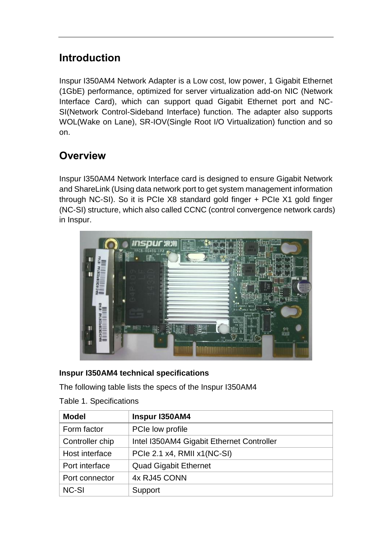# **Introduction**

Inspur I350AM4 Network Adapter is a Low cost, low power, 1 Gigabit Ethernet (1GbE) performance, optimized for server virtualization add-on NIC (Network Interface Card), which can support quad Gigabit Ethernet port and NC-SI(Network Control-Sideband Interface) function. The adapter also supports WOL(Wake on Lane), SR-IOV(Single Root I/O Virtualization) function and so on.

### **Overview**

Inspur I350AM4 Network Interface card is designed to ensure Gigabit Network and ShareLink (Using data network port to get system management information through NC-SI). So it is PCIe X8 standard gold finger + PCIe X1 gold finger (NC-SI) structure, which also called CCNC (control convergence network cards) in Inspur.



#### **Inspur I350AM4 technical specifications**

The following table lists the specs of the Inspur I350AM4

| <b>Model</b>    | Inspur I350AM4                            |  |  |
|-----------------|-------------------------------------------|--|--|
| Form factor     | PCIe low profile                          |  |  |
| Controller chip | Intel I350AM4 Gigabit Ethernet Controller |  |  |
| Host interface  | PCIe 2.1 x4, RMII x1(NC-SI)               |  |  |
| Port interface  | <b>Quad Gigabit Ethernet</b>              |  |  |
| Port connector  | 4x RJ45 CONN                              |  |  |
| <b>NC-SI</b>    | Support                                   |  |  |

Table 1. Specifications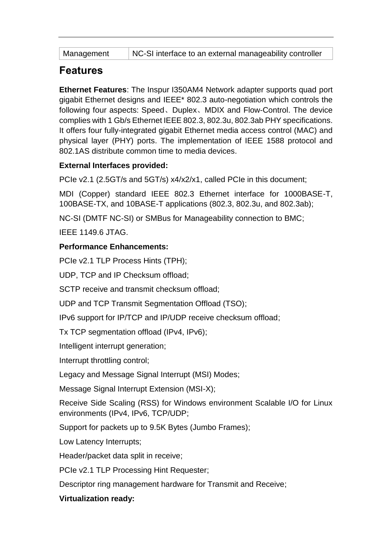NC-SI interface to an external manageability controller

#### **Features**

**Ethernet Features**: The Inspur I350AM4 Network adapter supports quad port gigabit Ethernet designs and IEEE\* 802.3 auto-negotiation which controls the following four aspects: Speed、Duplex、MDIX and Flow-Control. The device complies with 1 Gb/s Ethernet IEEE 802.3, 802.3u, 802.3ab PHY specifications. It offers four fully-integrated gigabit Ethernet media access control (MAC) and physical layer (PHY) ports. The implementation of IEEE 1588 protocol and 802.1AS distribute common time to media devices.

#### **External Interfaces provided:**

PCIe v2.1 (2.5GT/s and 5GT/s) x4/x2/x1, called PCIe in this document;

MDI (Copper) standard IEEE 802.3 Ethernet interface for 1000BASE-T, 100BASE-TX, and 10BASE-T applications (802.3, 802.3u, and 802.3ab);

NC-SI (DMTF NC-SI) or SMBus for Manageability connection to BMC;

IEEE 1149.6 JTAG.

#### **Performance Enhancements:**

PCIe v2.1 TLP Process Hints (TPH);

UDP, TCP and IP Checksum offload;

SCTP receive and transmit checksum offload;

UDP and TCP Transmit Segmentation Offload (TSO);

IPv6 support for IP/TCP and IP/UDP receive checksum offload;

Tx TCP segmentation offload (IPv4, IPv6);

Intelligent interrupt generation;

Interrupt throttling control;

Legacy and Message Signal Interrupt (MSI) Modes;

Message Signal Interrupt Extension (MSI-X);

Receive Side Scaling (RSS) for Windows environment Scalable I/O for Linux environments (IPv4, IPv6, TCP/UDP;

Support for packets up to 9.5K Bytes (Jumbo Frames);

Low Latency Interrupts;

Header/packet data split in receive;

PCIe v2.1 TLP Processing Hint Requester;

Descriptor ring management hardware for Transmit and Receive;

#### **Virtualization ready:**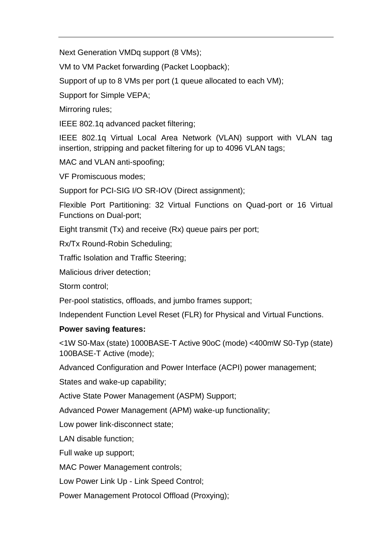Next Generation VMDq support (8 VMs);

VM to VM Packet forwarding (Packet Loopback);

Support of up to 8 VMs per port (1 queue allocated to each VM);

Support for Simple VEPA;

Mirroring rules;

IEEE 802.1q advanced packet filtering;

IEEE 802.1q Virtual Local Area Network (VLAN) support with VLAN tag insertion, stripping and packet filtering for up to 4096 VLAN tags;

MAC and VLAN anti-spoofing;

VF Promiscuous modes;

Support for PCI-SIG I/O SR-IOV (Direct assignment);

Flexible Port Partitioning: 32 Virtual Functions on Quad-port or 16 Virtual Functions on Dual-port;

Eight transmit (Tx) and receive (Rx) queue pairs per port;

Rx/Tx Round-Robin Scheduling;

Traffic Isolation and Traffic Steering;

Malicious driver detection;

Storm control;

Per-pool statistics, offloads, and jumbo frames support;

Independent Function Level Reset (FLR) for Physical and Virtual Functions.

#### **Power saving features:**

<1W S0-Max (state) 1000BASE-T Active 90oC (mode) <400mW S0-Typ (state) 100BASE-T Active (mode);

Advanced Configuration and Power Interface (ACPI) power management;

States and wake-up capability;

Active State Power Management (ASPM) Support;

Advanced Power Management (APM) wake-up functionality;

Low power link-disconnect state;

LAN disable function;

Full wake up support;

MAC Power Management controls;

Low Power Link Up - Link Speed Control;

Power Management Protocol Offload (Proxying);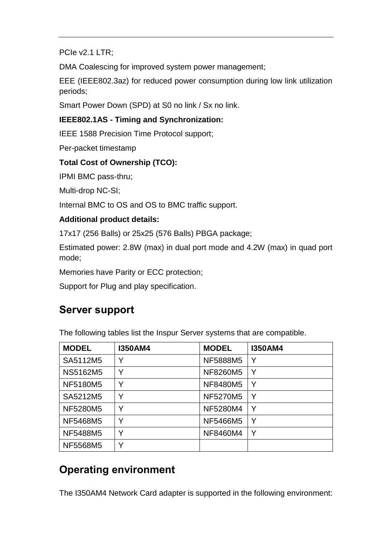PCIe v2.1 LTR;

DMA Coalescing for improved system power management;

EEE (IEEE802.3az) for reduced power consumption during low link utilization periods;

Smart Power Down (SPD) at S0 no link / Sx no link.

#### **IEEE802.1AS - Timing and Synchronization:**

IEEE 1588 Precision Time Protocol support;

Per-packet timestamp

#### **Total Cost of Ownership (TCO):**

IPMI BMC pass-thru;

Multi-drop NC-SI;

Internal BMC to OS and OS to BMC traffic support.

#### **Additional product details:**

17x17 (256 Balls) or 25x25 (576 Balls) PBGA package;

Estimated power: 2.8W (max) in dual port mode and 4.2W (max) in quad port mode;

Memories have Parity or ECC protection;

Support for Plug and play specification.

#### **Server support**

The following tables list the Inspur Server systems that are compatible.

| <b>MODEL</b>    | 1350AM4 | <b>MODEL</b>    | <b>I350AM4</b> |
|-----------------|---------|-----------------|----------------|
| SA5112M5        | v       | <b>NF5888M5</b> | v              |
| <b>NS5162M5</b> | Y       | <b>NF8260M5</b> | Y              |
| <b>NF5180M5</b> | Υ       | <b>NF8480M5</b> | Υ              |
| SA5212M5        | Y       | <b>NF5270M5</b> | Y              |
| <b>NF5280M5</b> | v       | <b>NF5280M4</b> | Y              |
| <b>NF5468M5</b> | v       | <b>NF5466M5</b> | Υ              |
| NF5488M5        | Υ       | NF8460M4        | Y              |
| NF5568M5        | v       |                 |                |

## **Operating environment**

The I350AM4 Network Card adapter is supported in the following environment: